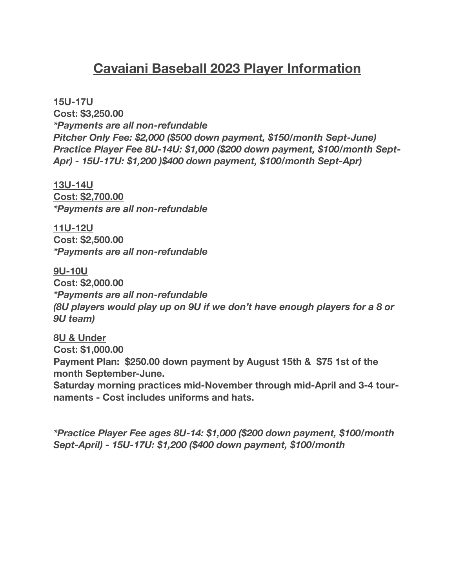# **Cavaiani Baseball 2023 Player Information**

**15U-17U**

**Cost: \$3,250.00** *\*Payments are all non-refundable Pitcher Only Fee: \$2,000 (\$500 down payment, \$150/month Sept-June) Practice Player Fee 8U-14U: \$1,000 (\$200 down payment, \$100/month Sept-Apr) - 15U-17U: \$1,200 )\$400 down payment, \$100/month Sept-Apr)*

**13U-14U Cost: \$2,700.00** *\*Payments are all non-refundable*

**11U-12U Cost: \$2,500.00** *\*Payments are all non-refundable* 

**9U-10U Cost: \$2,000.00** *\*Payments are all non-refundable (8U players would play up on 9U if we don't have enough players for a 8 or 9U team)* 

**8U & Under Cost: \$1,000.00 Payment Plan: \$250.00 down payment by August 15th & \$75 1st of the month September-June.** 

**Saturday morning practices mid-November through mid-April and 3-4 tournaments - Cost includes uniforms and hats.** 

*\*Practice Player Fee ages 8U-14: \$1,000 (\$200 down payment, \$100/month Sept-April) - 15U-17U: \$1,200 (\$400 down payment, \$100/month*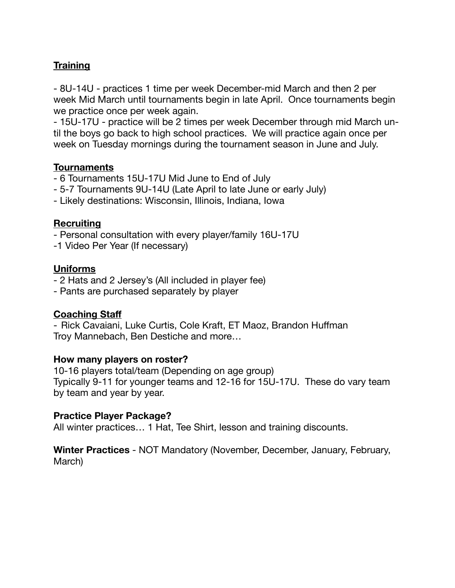## **Training**

- 8U-14U - practices 1 time per week December-mid March and then 2 per week Mid March until tournaments begin in late April. Once tournaments begin we practice once per week again.

- 15U-17U - practice will be 2 times per week December through mid March until the boys go back to high school practices. We will practice again once per week on Tuesday mornings during the tournament season in June and July.

## **Tournaments**

- 6 Tournaments 15U-17U Mid June to End of July
- 5-7 Tournaments 9U-14U (Late April to late June or early July)
- Likely destinations: Wisconsin, Illinois, Indiana, Iowa

## **Recruiting**

- Personal consultation with every player/family 16U-17U

-1 Video Per Year (If necessary)

## **Uniforms**

- 2 Hats and 2 Jersey's (All included in player fee)
- Pants are purchased separately by player

## **Coaching Staff**

- Rick Cavaiani, Luke Curtis, Cole Kraft, ET Maoz, Brandon Huffman Troy Mannebach, Ben Destiche and more…

## **How many players on roster?**

10-16 players total/team (Depending on age group) Typically 9-11 for younger teams and 12-16 for 15U-17U. These do vary team by team and year by year.

## **Practice Player Package?**

All winter practices… 1 Hat, Tee Shirt, lesson and training discounts.

**Winter Practices** - NOT Mandatory (November, December, January, February, March)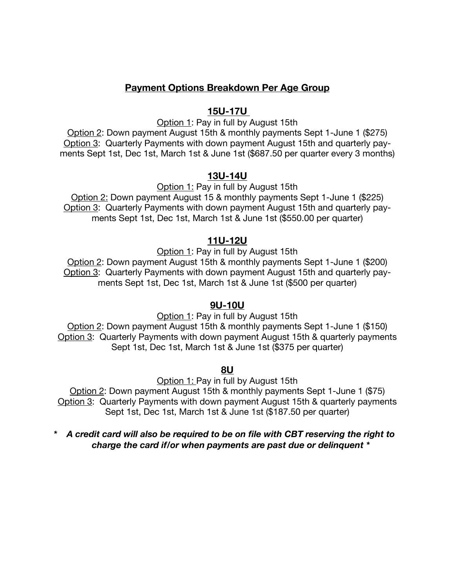## **Payment Options Breakdown Per Age Group**

#### **15U-17U**

Option 1: Pay in full by August 15th

Option 2: Down payment August 15th & monthly payments Sept 1-June 1 (\$275) Option 3: Quarterly Payments with down payment August 15th and quarterly payments Sept 1st, Dec 1st, March 1st & June 1st (\$687.50 per quarter every 3 months)

#### **13U-14U**

Option 1: Pay in full by August 15th

Option 2: Down payment August 15 & monthly payments Sept 1-June 1 (\$225) Option 3: Quarterly Payments with down payment August 15th and quarterly payments Sept 1st, Dec 1st, March 1st & June 1st (\$550.00 per quarter)

#### **11U-12U**

Option 1: Pay in full by August 15th

Option 2: Down payment August 15th & monthly payments Sept 1-June 1 (\$200) Option 3: Quarterly Payments with down payment August 15th and quarterly payments Sept 1st, Dec 1st, March 1st & June 1st (\$500 per quarter)

#### **9U-10U**

Option 1: Pay in full by August 15th Option 2: Down payment August 15th & monthly payments Sept 1-June 1 (\$150) Option 3: Quarterly Payments with down payment August 15th & quarterly payments Sept 1st, Dec 1st, March 1st & June 1st (\$375 per quarter)

**8U** 

Option 1: Pay in full by August 15th

Option 2: Down payment August 15th & monthly payments Sept 1-June 1 (\$75) Option 3: Quarterly Payments with down payment August 15th & quarterly payments Sept 1st, Dec 1st, March 1st & June 1st (\$187.50 per quarter)

#### *\* A credit card will also be required to be on file with CBT reserving the right to charge the card if/or when payments are past due or delinquent \**